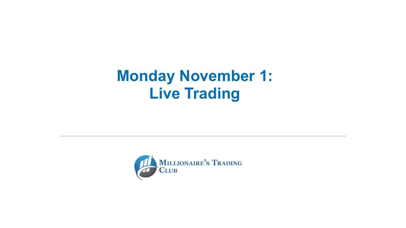### **Monday November 1: Live Trading**



MILLIONAIRE'S TRADING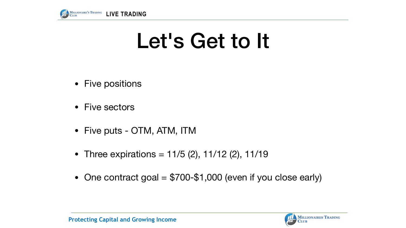

- Five positions
- Five sectors
- Five puts OTM, ATM, ITM
- Three expirations =  $11/5$  (2),  $11/12$  (2),  $11/19$
- 

# Let's Get to It

• One contract goal  $= $700-$1,000$  (even if you close early)

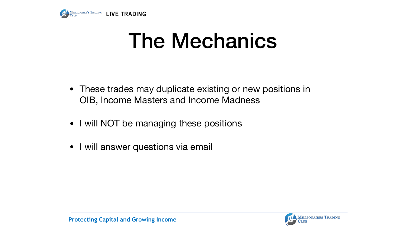

- These trades may duplicate existing or new positions in OIB, Income Masters and Income Madness
- I will NOT be managing these positions
- I will answer questions via email



# The Mechanics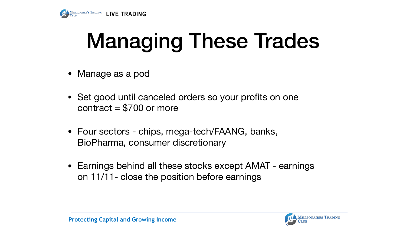

### Managing These Trades

- Manage as a pod
- Set good until canceled orders so your profits on one contract  $= $700$  or more
- Four sectors chips, mega-tech/FAANG, banks, BioPharma, consumer discretionary
- on 11/11- close the position before earnings

• Earnings behind all these stocks except AMAT - earnings

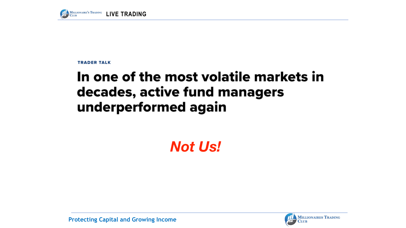

**TRADER TALK** 

### In one of the most volatile markets in decades, active fund managers underperformed again

**Protecting Capital and Growing Income**



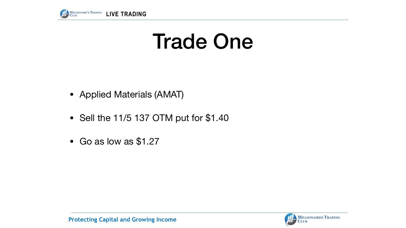



# Trade One

- Applied Materials (AMAT)
- Sell the 11/5 137 OTM put for \$1.40
- Go as low as \$1.27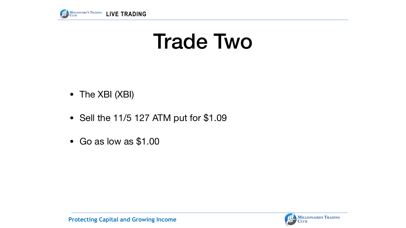



## Trade Two

- The XBI (XBI)
- Sell the 11/5 127 ATM put for \$1.09
- Go as low as \$1.00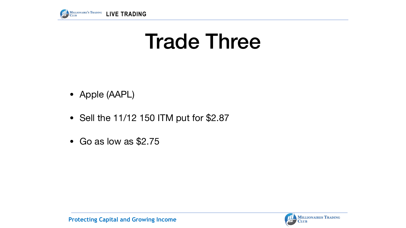



### Trade Three

- Apple (AAPL)
- Sell the 11/12 150 ITM put for \$2.87
- Go as low as \$2.75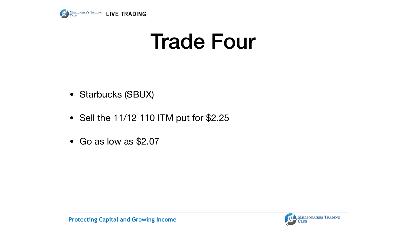



### Trade Four

- Starbucks (SBUX)
- Sell the 11/12 110 ITM put for \$2.25
- Go as low as \$2.07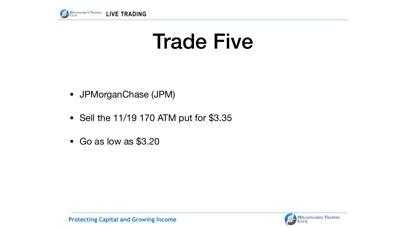



## Trade Five

- JPMorganChase (JPM)
- Sell the 11/19 170 ATM put for \$3.35
- Go as low as \$3.20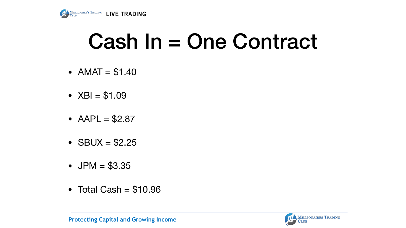



### Cash In = One Contract

- $AMAT = $1.40$
- $XBI = $1.09$
- $AAPL = $2.87$
- $SBUX = $2.25$
- $JPM = $3.35$
- Total Cash  $= $10.96$